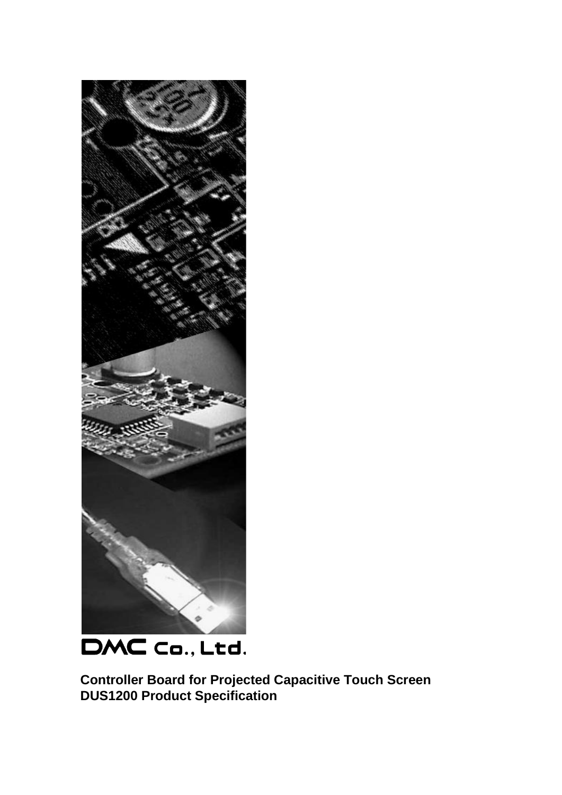

DMC Co., Ltd.

**Controller Board for Projected Capacitive Touch Screen DUS1200 Product Specification**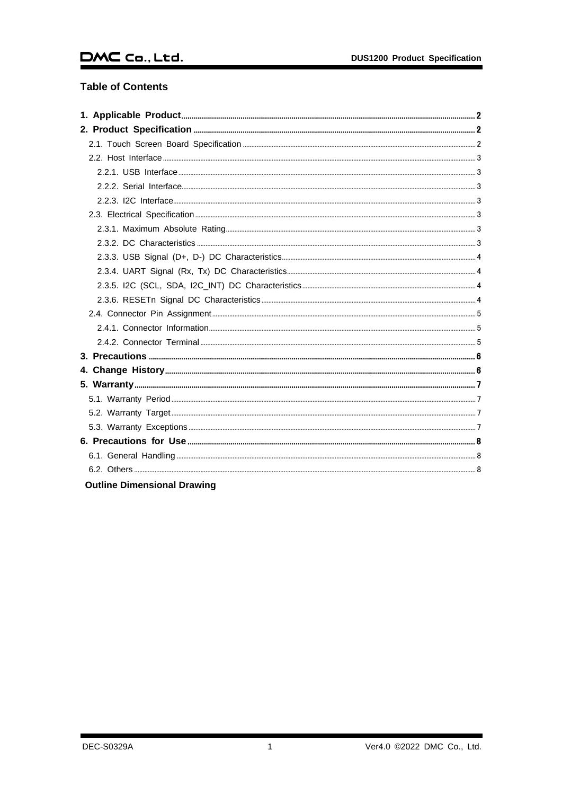# $DMC$  Co., Ltd.

# **Table of Contents**

**Outline Dimensional Drawing**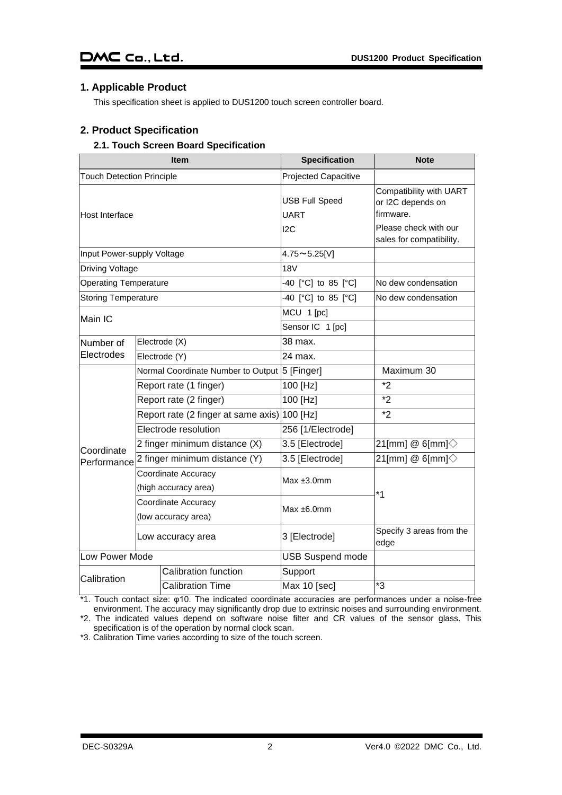# <span id="page-2-0"></span>**1. Applicable Product**

This specification sheet is applied to DUS1200 touch screen controller board.

# <span id="page-2-1"></span>**2. Product Specification**

# <span id="page-2-2"></span>**2.1. Touch Screen Board Specification**

|                                  |                                               | <b>Item</b>                                  | <b>Specification</b>                 | <b>Note</b>                                                                                                    |
|----------------------------------|-----------------------------------------------|----------------------------------------------|--------------------------------------|----------------------------------------------------------------------------------------------------------------|
| <b>Touch Detection Principle</b> |                                               |                                              | <b>Projected Capacitive</b>          |                                                                                                                |
| Host Interface                   |                                               |                                              | <b>USB Full Speed</b><br>UART<br>12C | Compatibility with UART<br>or I2C depends on<br>firmware.<br>Please check with our<br>sales for compatibility. |
| Input Power-supply Voltage       |                                               |                                              | $4.75 \sim 5.25$ [V]                 |                                                                                                                |
| <b>Driving Voltage</b>           |                                               |                                              | 18 <sub>V</sub>                      |                                                                                                                |
| <b>Operating Temperature</b>     |                                               |                                              | -40 [°C] to 85 [°C]                  | No dew condensation                                                                                            |
| <b>Storing Temperature</b>       |                                               |                                              | -40 [°C] to 85 [°C]                  | No dew condensation                                                                                            |
| Main IC                          |                                               |                                              | MCU 1 [pc]                           |                                                                                                                |
|                                  |                                               |                                              | Sensor IC 1 [pc]                     |                                                                                                                |
| Number of                        |                                               | Electrode (X)                                | 38 max.                              |                                                                                                                |
| Electrodes<br>Electrode (Y)      |                                               | 24 max.                                      |                                      |                                                                                                                |
|                                  | Normal Coordinate Number to Output 5 [Finger] |                                              |                                      | Maximum 30                                                                                                     |
|                                  | Report rate (1 finger)                        |                                              | 100 [Hz]                             | $*_{2}$                                                                                                        |
|                                  | Report rate (2 finger)                        |                                              | 100 [Hz]                             | $*2$                                                                                                           |
|                                  |                                               | Report rate (2 finger at same axis) 100 [Hz] |                                      | $*2$                                                                                                           |
|                                  |                                               | Electrode resolution                         | 256 [1/Electrode]                    |                                                                                                                |
| Coordinate                       |                                               | 2 finger minimum distance (X)                | 3.5 [Electrode]                      | 21[mm] @ 6[mm] $\diamondsuit$                                                                                  |
| Performance                      |                                               | 2 finger minimum distance (Y)                | 3.5 [Electrode]                      | 21[mm] @ 6[mm] $\diamondsuit$                                                                                  |
|                                  |                                               | Coordinate Accuracy                          | $Max \pm 3.0$ mm                     |                                                                                                                |
|                                  | (high accuracy area)                          |                                              |                                      | $*1$                                                                                                           |
|                                  |                                               | Coordinate Accuracy                          | Max $±6.0$ mm                        |                                                                                                                |
|                                  | (low accuracy area)                           |                                              |                                      |                                                                                                                |
| Low accuracy area                |                                               |                                              | 3 [Electrode]                        | Specify 3 areas from the<br>edge                                                                               |
| <b>Low Power Mode</b>            |                                               |                                              | <b>USB Suspend mode</b>              |                                                                                                                |
| Calibration                      |                                               | Calibration function                         | Support                              |                                                                                                                |
|                                  |                                               | <b>Calibration Time</b>                      | Max 10 [sec]                         | *3                                                                                                             |

\*1. Touch contact size: φ10. The indicated coordinate accuracies are performances under a noise-free environment. The accuracy may significantly drop due to extrinsic noises and surrounding environment.

\*2. The indicated values depend on software noise filter and CR values of the sensor glass. This specification is of the operation by normal clock scan.

\*3. Calibration Time varies according to size of the touch screen.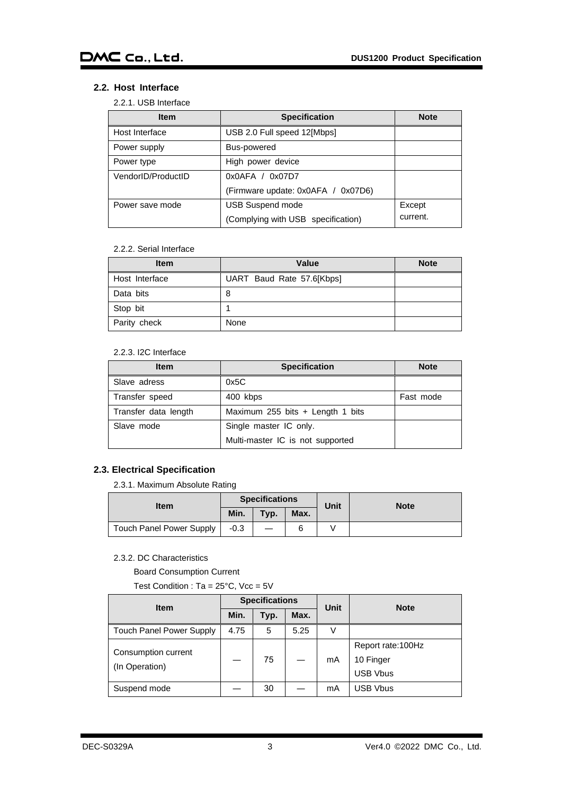# <span id="page-3-1"></span><span id="page-3-0"></span>**2.2. Host Interface**

#### 2.2.1. USB Interface

| <b>Item</b>        | <b>Specification</b>               | <b>Note</b> |
|--------------------|------------------------------------|-------------|
| Host Interface     | USB 2.0 Full speed 12[Mbps]        |             |
| Power supply       | Bus-powered                        |             |
| Power type         | High power device                  |             |
| VendorID/ProductID | 0x0AFA / 0x07D7                    |             |
|                    | (Firmware update: 0x0AFA / 0x07D6) |             |
| Power save mode    | <b>USB Suspend mode</b>            | Except      |
|                    | (Complying with USB specification) | current.    |

#### 2.2.2. Serial Interface

<span id="page-3-2"></span>

| <b>Item</b>    | <b>Value</b>              | <b>Note</b> |
|----------------|---------------------------|-------------|
| Host Interface | UART Baud Rate 57.6[Kbps] |             |
| Data bits      |                           |             |
| Stop bit       |                           |             |
| Parity check   | None                      |             |

#### 2.2.3. I2C Interface

<span id="page-3-3"></span>

| <b>Item</b>          | <b>Specification</b>             | <b>Note</b> |
|----------------------|----------------------------------|-------------|
| Slave adress         | 0x5C                             |             |
| Transfer speed       | 400 kbps                         | Fast mode   |
| Transfer data length | Maximum 255 bits + Length 1 bits |             |
| Slave mode           | Single master IC only.           |             |
|                      | Multi-master IC is not supported |             |

# <span id="page-3-5"></span><span id="page-3-4"></span>**2.3. Electrical Specification**

2.3.1. Maximum Absolute Rating

| <b>Item</b>              | <b>Specifications</b> |      |      | Unit | <b>Note</b> |
|--------------------------|-----------------------|------|------|------|-------------|
|                          | Min.                  | Typ. | Max. |      |             |
| Touch Panel Power Supply | $-0.3$                |      |      |      |             |

# <span id="page-3-6"></span>2.3.2. DC Characteristics

Board Consumption Current

Test Condition : Ta = 25°C, Vcc = 5V

| <b>Item</b>                           | <b>Specifications</b> |      |      | <b>Unit</b> | <b>Note</b>                                       |
|---------------------------------------|-----------------------|------|------|-------------|---------------------------------------------------|
|                                       | Min.                  | Typ. | Max. |             |                                                   |
| <b>Touch Panel Power Supply</b>       | 4.75                  | 5    | 5.25 | V           |                                                   |
| Consumption current<br>(In Operation) |                       | 75   |      | mA          | Report rate:100Hz<br>10 Finger<br><b>USB Vbus</b> |
| Suspend mode                          |                       | 30   |      | mA          | <b>USB Vbus</b>                                   |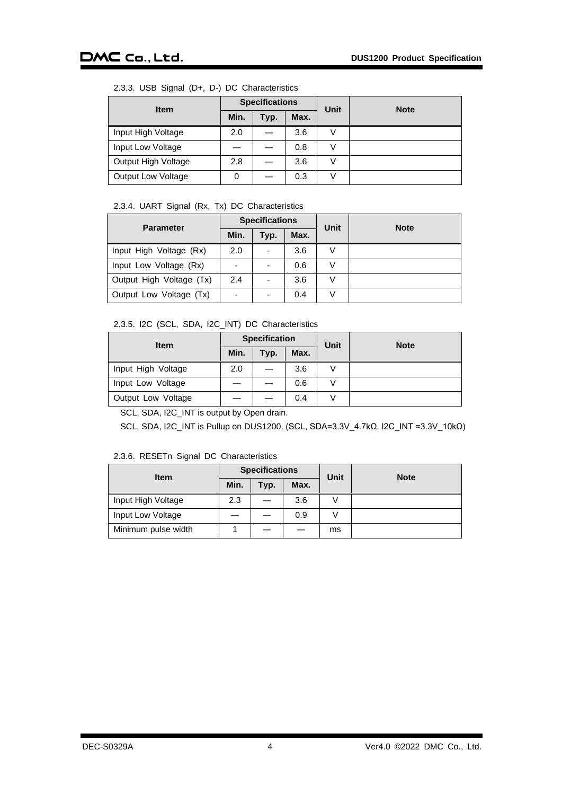## <span id="page-4-0"></span>2.3.3. USB Signal (D+, D-) DC Characteristics

| <b>Item</b>               | <b>Specifications</b> |      |      | <b>Unit</b> | <b>Note</b> |
|---------------------------|-----------------------|------|------|-------------|-------------|
|                           | Min.                  | Typ. | Max. |             |             |
| Input High Voltage        | 2.0                   |      | 3.6  | V           |             |
| Input Low Voltage         |                       |      | 0.8  | V           |             |
| Output High Voltage       | 2.8                   |      | 3.6  | V           |             |
| <b>Output Low Voltage</b> | 0                     |      | 0.3  | V           |             |

### 2.3.4. UART Signal (Rx, Tx) DC Characteristics

<span id="page-4-1"></span>

| <b>Parameter</b>         | <b>Specifications</b> |      |      | Unit | <b>Note</b> |
|--------------------------|-----------------------|------|------|------|-------------|
|                          | Min.                  | Typ. | Max. |      |             |
| Input High Voltage (Rx)  | 2.0                   |      | 3.6  | V    |             |
| Input Low Voltage (Rx)   | $\overline{a}$        |      | 0.6  | V    |             |
| Output High Voltage (Tx) | 2.4                   |      | 3.6  |      |             |
| Output Low Voltage (Tx)  | -                     |      | 0.4  | V    |             |

# 2.3.5. I2C (SCL, SDA, I2C\_INT) DC Characteristics

<span id="page-4-2"></span>

| <b>Item</b>        | <b>Specification</b> |      |      | <b>Unit</b> | <b>Note</b> |
|--------------------|----------------------|------|------|-------------|-------------|
|                    | Min.                 | Typ. | Max. |             |             |
| Input High Voltage | 2.0                  |      | 3.6  |             |             |
| Input Low Voltage  |                      |      | 0.6  |             |             |
| Output Low Voltage |                      |      | 0.4  |             |             |

SCL, SDA, I2C\_INT is output by Open drain.

SCL, SDA, I2C\_INT is Pullup on DUS1200. (SCL, SDA=3.3V\_4.7kΩ, I2C\_INT =3.3V\_10kΩ)

#### 2.3.6. RESETn Signal DC Characteristics

<span id="page-4-3"></span>

| <b>Item</b>         | <b>Specifications</b> |      |      | Unit | <b>Note</b> |
|---------------------|-----------------------|------|------|------|-------------|
|                     | Min.                  | Typ. | Max. |      |             |
| Input High Voltage  | 2.3                   |      | 3.6  |      |             |
| Input Low Voltage   |                       |      | 0.9  |      |             |
| Minimum pulse width |                       |      |      | ms   |             |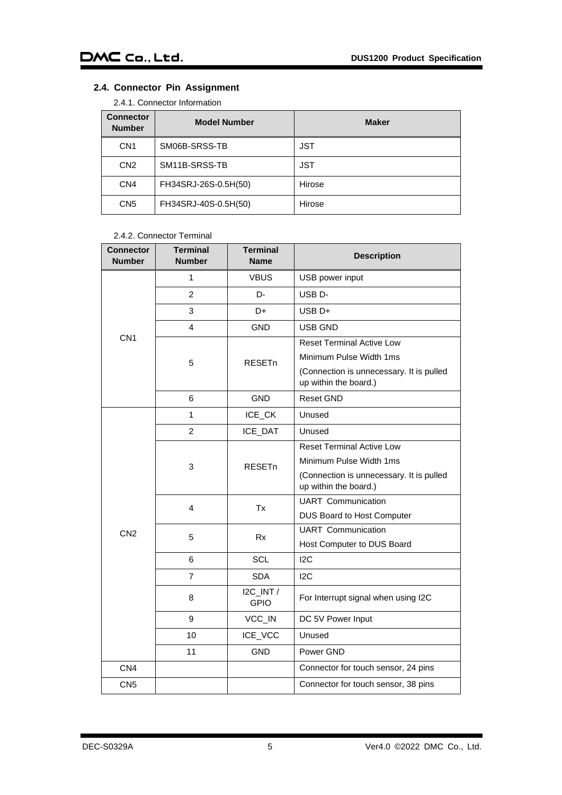# <span id="page-5-1"></span><span id="page-5-0"></span>**2.4. Connector Pin Assignment**

2.4.1. Connector Information

| <b>Connector</b><br><b>Number</b> | <b>Model Number</b>  | <b>Maker</b> |
|-----------------------------------|----------------------|--------------|
| CN <sub>1</sub>                   | SM06B-SRSS-TB        | <b>JST</b>   |
| CN <sub>2</sub>                   | SM11B-SRSS-TB        | <b>JST</b>   |
| CN <sub>4</sub>                   | FH34SRJ-26S-0.5H(50) | Hirose       |
| CN <sub>5</sub>                   | FH34SRJ-40S-0.5H(50) | Hirose       |

#### 2.4.2. Connector Terminal

<span id="page-5-2"></span>

| <b>Connector</b><br><b>Number</b> | <b>Terminal</b><br><b>Number</b> | <b>Terminal</b><br><b>Name</b> | <b>Description</b>                                                |
|-----------------------------------|----------------------------------|--------------------------------|-------------------------------------------------------------------|
| CN <sub>1</sub>                   | 1                                | <b>VBUS</b>                    | USB power input                                                   |
|                                   | $\overline{2}$                   | D-                             | USB <sub>D</sub> -                                                |
|                                   | 3                                | D+                             | USB D+                                                            |
|                                   | 4                                | <b>GND</b>                     | USB GND                                                           |
|                                   | 5                                | <b>RESET<sub>n</sub></b>       | <b>Reset Terminal Active Low</b>                                  |
|                                   |                                  |                                | Minimum Pulse Width 1ms                                           |
|                                   |                                  |                                | (Connection is unnecessary. It is pulled<br>up within the board.) |
|                                   | 6                                | <b>GND</b>                     | <b>Reset GND</b>                                                  |
| CN <sub>2</sub>                   | 1                                | ICE_CK                         | Unused                                                            |
|                                   | $\overline{2}$                   | ICE_DAT                        | Unused                                                            |
|                                   | 3                                | <b>RESETn</b>                  | <b>Reset Terminal Active Low</b>                                  |
|                                   |                                  |                                | Minimum Pulse Width 1ms                                           |
|                                   |                                  |                                | (Connection is unnecessary. It is pulled<br>up within the board.) |
|                                   | 4                                | Tx                             | <b>UART</b> Communication                                         |
|                                   |                                  |                                | DUS Board to Host Computer                                        |
|                                   | 5                                | <b>Rx</b>                      | <b>UART</b> Communication                                         |
|                                   |                                  |                                | Host Computer to DUS Board                                        |
|                                   | 6                                | <b>SCL</b>                     | 12C                                                               |
|                                   | $\overline{7}$                   | <b>SDA</b>                     | 12C                                                               |
|                                   | 8                                | I2C_INT /<br><b>GPIO</b>       | For Interrupt signal when using I2C                               |
|                                   | 9                                | VCC_IN                         | DC 5V Power Input                                                 |
|                                   | 10                               | ICE_VCC                        | Unused                                                            |
|                                   | 11                               | <b>GND</b>                     | Power GND                                                         |
| CN <sub>4</sub>                   |                                  |                                | Connector for touch sensor, 24 pins                               |
| CN <sub>5</sub>                   |                                  |                                | Connector for touch sensor, 38 pins                               |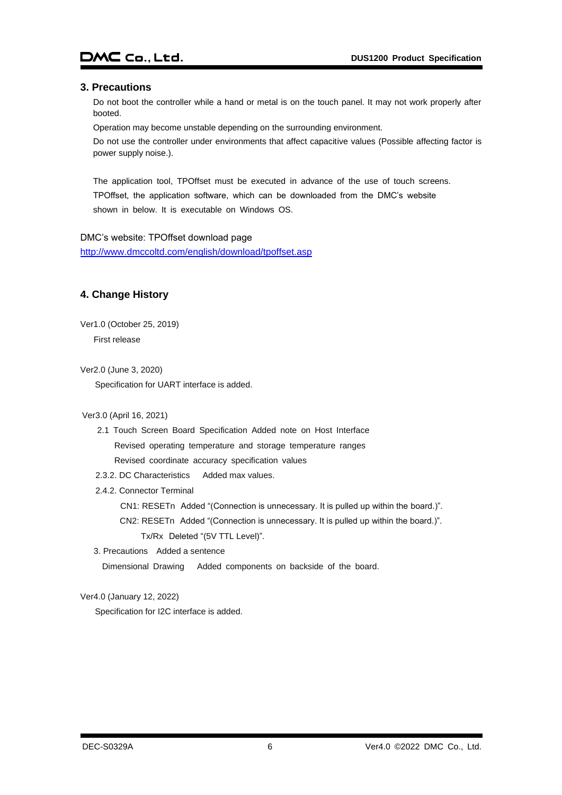#### <span id="page-6-0"></span>**3. Precautions**

Do not boot the controller while a hand or metal is on the touch panel. It may not work properly after booted.

Operation may become unstable depending on the surrounding environment.

Do not use the controller under environments that affect capacitive values (Possible affecting factor is power supply noise.).

The application tool, TPOffset must be executed in advance of the use of touch screens. TPOffset, the application software, which can be downloaded from the DMC's website shown in below. It is executable on Windows OS.

DMC's website: TPOffset download page <http://www.dmccoltd.com/english/download/tpoffset.asp>

# <span id="page-6-1"></span>**4. Change History**

Ver1.0 (October 25, 2019) First release

Ver2.0 (June 3, 2020)

Specification for UART interface is added.

#### Ver3.0 (April 16, 2021)

2.1 Touch Screen Board Specification Added note on Host Interface Revised operating temperature and storage temperature ranges Revised coordinate accuracy specification values

- 2.3.2. DC Characteristics Added max values.
- 2.4.2. Connector Terminal

CN1: RESETn Added "(Connection is unnecessary. It is pulled up within the board.)". CN2: RESETn Added "(Connection is unnecessary. It is pulled up within the board.)". Tx/Rx Deleted "(5V TTL Level)".

3. Precautions Added a sentence Dimensional Drawing Added components on backside of the board.

Ver4.0 (January 12, 2022)

Specification for I2C interface is added.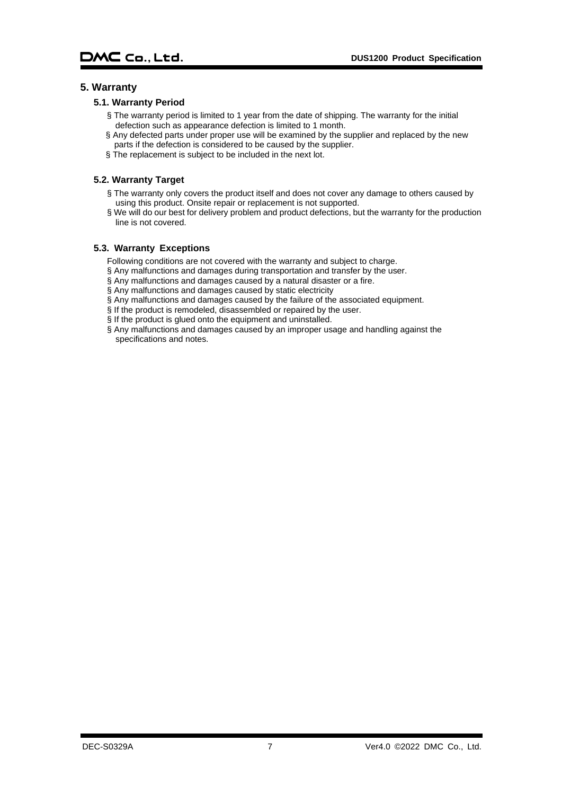## <span id="page-7-1"></span><span id="page-7-0"></span>**5. Warranty**

#### **5.1. Warranty Period**

- § The warranty period is limited to 1 year from the date of shipping. The warranty for the initial defection such as appearance defection is limited to 1 month.
- § Any defected parts under proper use will be examined by the supplier and replaced by the new parts if the defection is considered to be caused by the supplier.
- § The replacement is subject to be included in the next lot.

## <span id="page-7-2"></span>**5.2. Warranty Target**

- § The warranty only covers the product itself and does not cover any damage to others caused by using this product. Onsite repair or replacement is not supported.
- § We will do our best for delivery problem and product defections, but the warranty for the production line is not covered.

#### <span id="page-7-3"></span>**5.3. Warranty Exceptions**

Following conditions are not covered with the warranty and subject to charge.

- § Any malfunctions and damages during transportation and transfer by the user.
- § Any malfunctions and damages caused by a natural disaster or a fire.
- § Any malfunctions and damages caused by static electricity
- § Any malfunctions and damages caused by the failure of the associated equipment.
- § If the product is remodeled, disassembled or repaired by the user.
- § If the product is glued onto the equipment and uninstalled.
- $\S$  Any malfunctions and damages caused by an improper usage and handling against the specifications and notes.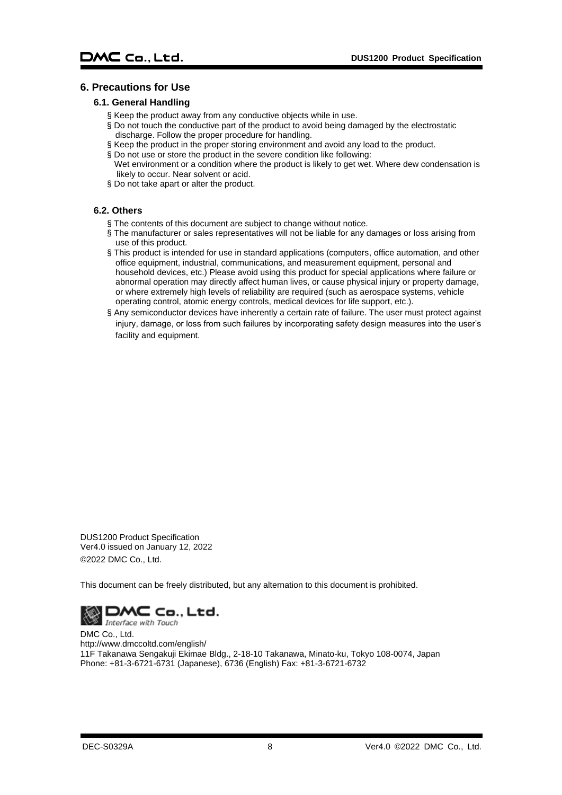### <span id="page-8-1"></span><span id="page-8-0"></span>**6. Precautions for Use**

#### **6.1. General Handling**

- § Keep the product away from any conductive objects while in use.
- § Do not touch the conductive part of the product to avoid being damaged by the electrostatic discharge. Follow the proper procedure for handling.
- § Keep the product in the proper storing environment and avoid any load to the product.
- § Do not use or store the product in the severe condition like following: Wet environment or a condition where the product is likely to get wet. Where dew condensation is likely to occur. Near solvent or acid.
- § Do not take apart or alter the product.

#### <span id="page-8-2"></span>**6.2. Others**

- § The contents of this document are subject to change without notice.
- § The manufacturer or sales representatives will not be liable for any damages or loss arising from use of this product.
- § This product is intended for use in standard applications (computers, office automation, and other office equipment, industrial, communications, and measurement equipment, personal and household devices, etc.) Please avoid using this product for special applications where failure or abnormal operation may directly affect human lives, or cause physical injury or property damage, or where extremely high levels of reliability are required (such as aerospace systems, vehicle operating control, atomic energy controls, medical devices for life support, etc.).
- § Any semiconductor devices have inherently a certain rate of failure. The user must protect against injury, damage, or loss from such failures by incorporating safety design measures into the user's facility and equipment.

DUS1200 Product Specification Ver4.0 issued on January 12, 2022 ©2022 DMC Co., Ltd.

This document can be freely distributed, but any alternation to this document is prohibited.

# $DMC$  Co., Ltd.

Interface with Touch DMC Co., Ltd. http://www.dmccoltd.com/english/ 11F Takanawa Sengakuji Ekimae Bldg., 2-18-10 Takanawa, Minato-ku, Tokyo 108-0074, Japan Phone: +81-3-6721-6731 (Japanese), 6736 (English) Fax: +81-3-6721-6732